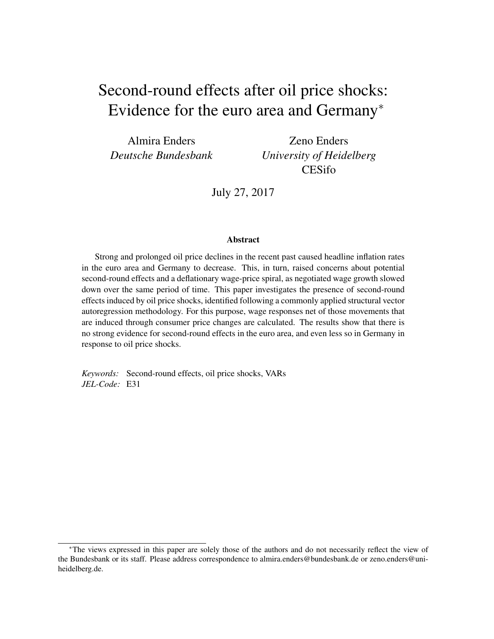# Second-round effects after oil price shocks: Evidence for the euro area and Germany<sup>∗</sup>

Almira Enders *Deutsche Bundesbank*

Zeno Enders *University of Heidelberg* CESifo

July 27, 2017

#### Abstract

Strong and prolonged oil price declines in the recent past caused headline inflation rates in the euro area and Germany to decrease. This, in turn, raised concerns about potential second-round effects and a deflationary wage-price spiral, as negotiated wage growth slowed down over the same period of time. This paper investigates the presence of second-round effects induced by oil price shocks, identified following a commonly applied structural vector autoregression methodology. For this purpose, wage responses net of those movements that are induced through consumer price changes are calculated. The results show that there is no strong evidence for second-round effects in the euro area, and even less so in Germany in response to oil price shocks.

*Keywords:* Second-round effects, oil price shocks, VARs *JEL-Code:* E31

<sup>∗</sup>The views expressed in this paper are solely those of the authors and do not necessarily reflect the view of the Bundesbank or its staff. Please address correspondence to almira.enders@bundesbank.de or zeno.enders@uniheidelberg.de.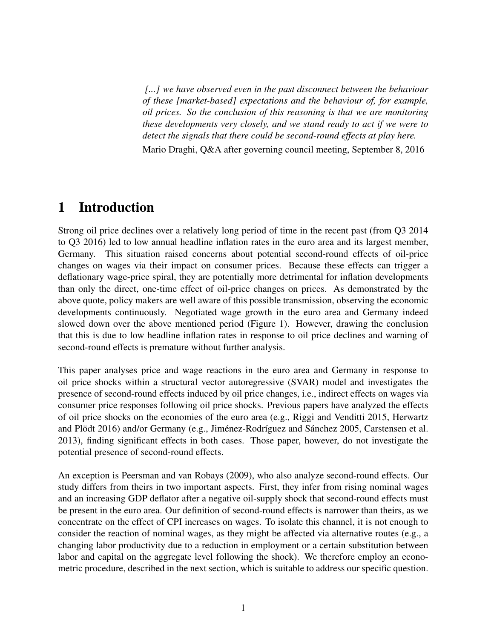*[...] we have observed even in the past disconnect between the behaviour of these [market-based] expectations and the behaviour of, for example, oil prices. So the conclusion of this reasoning is that we are monitoring these developments very closely, and we stand ready to act if we were to detect the signals that there could be second-round effects at play here.*

Mario Draghi, Q&A after governing council meeting, September 8, 2016

### 1 Introduction

Strong oil price declines over a relatively long period of time in the recent past (from Q3 2014 to Q3 2016) led to low annual headline inflation rates in the euro area and its largest member, Germany. This situation raised concerns about potential second-round effects of oil-price changes on wages via their impact on consumer prices. Because these effects can trigger a deflationary wage-price spiral, they are potentially more detrimental for inflation developments than only the direct, one-time effect of oil-price changes on prices. As demonstrated by the above quote, policy makers are well aware of this possible transmission, observing the economic developments continuously. Negotiated wage growth in the euro area and Germany indeed slowed down over the above mentioned period (Figure 1). However, drawing the conclusion that this is due to low headline inflation rates in response to oil price declines and warning of second-round effects is premature without further analysis.

This paper analyses price and wage reactions in the euro area and Germany in response to oil price shocks within a structural vector autoregressive (SVAR) model and investigates the presence of second-round effects induced by oil price changes, i.e., indirect effects on wages via consumer price responses following oil price shocks. Previous papers have analyzed the effects of oil price shocks on the economies of the euro area (e.g., [Riggi and Venditti](#page-7-0) [2015,](#page-7-0) [Herwartz](#page-7-1) and Plödt [2016\)](#page-7-1) and/or Germany (e.g., Jiménez-Rodríguez and Sánchez [2005,](#page-7-2) [Carstensen et al.](#page-7-3) [2013\)](#page-7-3), finding significant effects in both cases. Those paper, however, do not investigate the potential presence of second-round effects.

An exception is [Peersman and van Robays](#page-7-4) [\(2009\)](#page-7-4), who also analyze second-round effects. Our study differs from theirs in two important aspects. First, they infer from rising nominal wages and an increasing GDP deflator after a negative oil-supply shock that second-round effects must be present in the euro area. Our definition of second-round effects is narrower than theirs, as we concentrate on the effect of CPI increases on wages. To isolate this channel, it is not enough to consider the reaction of nominal wages, as they might be affected via alternative routes (e.g., a changing labor productivity due to a reduction in employment or a certain substitution between labor and capital on the aggregate level following the shock). We therefore employ an econometric procedure, described in the next section, which is suitable to address our specific question.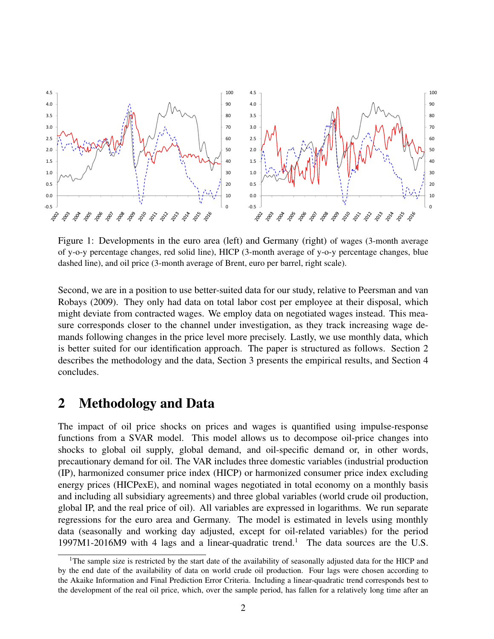

Figure 1: Developments in the euro area (left) and Germany (right) of wages (3-month average of y-o-y percentage changes, red solid line), HICP (3-month average of y-o-y percentage changes, blue dashed line), and oil price (3-month average of Brent, euro per barrel, right scale).

Second, we are in a position to use better-suited data for our study, relative to [Peersman and van](#page-7-4) [Robays](#page-7-4) [\(2009\)](#page-7-4). They only had data on total labor cost per employee at their disposal, which might deviate from contracted wages. We employ data on negotiated wages instead. This measure corresponds closer to the channel under investigation, as they track increasing wage demands following changes in the price level more precisely. Lastly, we use monthly data, which is better suited for our identification approach. The paper is structured as follows. Section 2 describes the methodology and the data, Section 3 presents the empirical results, and Section 4 concludes.

#### 2 Methodology and Data

The impact of oil price shocks on prices and wages is quantified using impulse-response functions from a SVAR model. This model allows us to decompose oil-price changes into shocks to global oil supply, global demand, and oil-specific demand or, in other words, precautionary demand for oil. The VAR includes three domestic variables (industrial production (IP), harmonized consumer price index (HICP) or harmonized consumer price index excluding energy prices (HICPexE), and nominal wages negotiated in total economy on a monthly basis and including all subsidiary agreements) and three global variables (world crude oil production, global IP, and the real price of oil). All variables are expressed in logarithms. We run separate regressions for the euro area and Germany. The model is estimated in levels using monthly data (seasonally and working day adjusted, except for oil-related variables) for the period [1](#page-2-0)997M1-2016M9 with 4 lags and a linear-quadratic trend.<sup>1</sup> The data sources are the U.S.

<span id="page-2-0"></span><sup>&</sup>lt;sup>1</sup>The sample size is restricted by the start date of the availability of seasonally adjusted data for the HICP and by the end date of the availability of data on world crude oil production. Four lags were chosen according to the Akaike Information and Final Prediction Error Criteria. Including a linear-quadratic trend corresponds best to the development of the real oil price, which, over the sample period, has fallen for a relatively long time after an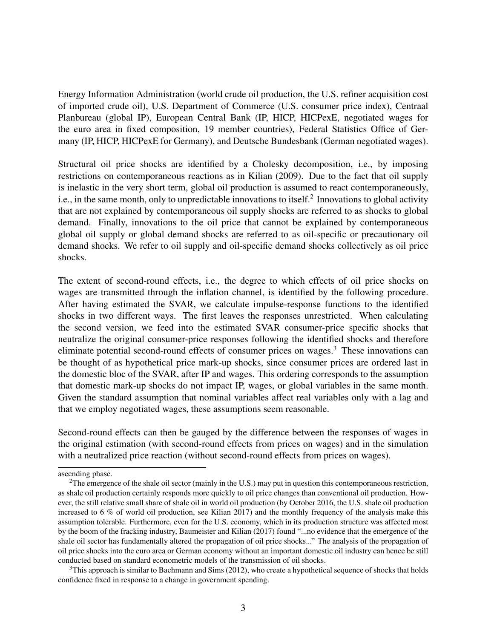Energy Information Administration (world crude oil production, the U.S. refiner acquisition cost of imported crude oil), U.S. Department of Commerce (U.S. consumer price index), Centraal Planbureau (global IP), European Central Bank (IP, HICP, HICPexE, negotiated wages for the euro area in fixed composition, 19 member countries), Federal Statistics Office of Germany (IP, HICP, HICPexE for Germany), and Deutsche Bundesbank (German negotiated wages).

Structural oil price shocks are identified by a Cholesky decomposition, i.e., by imposing restrictions on contemporaneous reactions as in [Kilian](#page-7-5) [\(2009\)](#page-7-5). Due to the fact that oil supply is inelastic in the very short term, global oil production is assumed to react contemporaneously, i.e., in the same month, only to unpredictable innovations to itself.<sup>[2](#page-3-0)</sup> Innovations to global activity that are not explained by contemporaneous oil supply shocks are referred to as shocks to global demand. Finally, innovations to the oil price that cannot be explained by contemporaneous global oil supply or global demand shocks are referred to as oil-specific or precautionary oil demand shocks. We refer to oil supply and oil-specific demand shocks collectively as oil price shocks.

The extent of second-round effects, i.e., the degree to which effects of oil price shocks on wages are transmitted through the inflation channel, is identified by the following procedure. After having estimated the SVAR, we calculate impulse-response functions to the identified shocks in two different ways. The first leaves the responses unrestricted. When calculating the second version, we feed into the estimated SVAR consumer-price specific shocks that neutralize the original consumer-price responses following the identified shocks and therefore eliminate potential second-round effects of consumer prices on wages.<sup>[3](#page-3-1)</sup> These innovations can be thought of as hypothetical price mark-up shocks, since consumer prices are ordered last in the domestic bloc of the SVAR, after IP and wages. This ordering corresponds to the assumption that domestic mark-up shocks do not impact IP, wages, or global variables in the same month. Given the standard assumption that nominal variables affect real variables only with a lag and that we employ negotiated wages, these assumptions seem reasonable.

Second-round effects can then be gauged by the difference between the responses of wages in the original estimation (with second-round effects from prices on wages) and in the simulation with a neutralized price reaction (without second-round effects from prices on wages).

ascending phase.

<span id="page-3-0"></span><sup>&</sup>lt;sup>2</sup>The emergence of the shale oil sector (mainly in the U.S.) may put in question this contemporaneous restriction, as shale oil production certainly responds more quickly to oil price changes than conventional oil production. However, the still relative small share of shale oil in world oil production (by October 2016, the U.S. shale oil production increased to 6 % of world oil production, see [Kilian](#page-7-6) [2017\)](#page-7-6) and the monthly frequency of the analysis make this assumption tolerable. Furthermore, even for the U.S. economy, which in its production structure was affected most by the boom of the fracking industry, [Baumeister and Kilian](#page-7-7) [\(2017\)](#page-7-7) found "...no evidence that the emergence of the shale oil sector has fundamentally altered the propagation of oil price shocks..." The analysis of the propagation of oil price shocks into the euro area or German economy without an important domestic oil industry can hence be still conducted based on standard econometric models of the transmission of oil shocks.

<span id="page-3-1"></span> $3$ This approach is similar to [Bachmann and Sims](#page-7-8) [\(2012\)](#page-7-8), who create a hypothetical sequence of shocks that holds confidence fixed in response to a change in government spending.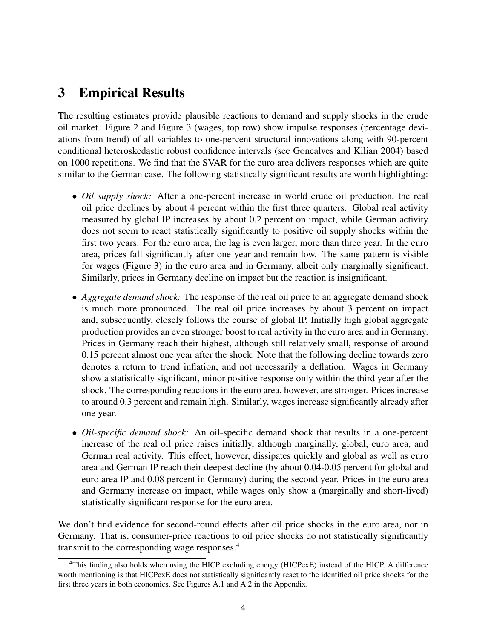# 3 Empirical Results

The resulting estimates provide plausible reactions to demand and supply shocks in the crude oil market. Figure 2 and Figure 3 (wages, top row) show impulse responses (percentage deviations from trend) of all variables to one-percent structural innovations along with 90-percent conditional heteroskedastic robust confidence intervals (see [Goncalves and Kilian](#page-7-9) [2004\)](#page-7-9) based on 1000 repetitions. We find that the SVAR for the euro area delivers responses which are quite similar to the German case. The following statistically significant results are worth highlighting:

- *Oil supply shock:* After a one-percent increase in world crude oil production, the real oil price declines by about 4 percent within the first three quarters. Global real activity measured by global IP increases by about 0.2 percent on impact, while German activity does not seem to react statistically significantly to positive oil supply shocks within the first two years. For the euro area, the lag is even larger, more than three year. In the euro area, prices fall significantly after one year and remain low. The same pattern is visible for wages (Figure 3) in the euro area and in Germany, albeit only marginally significant. Similarly, prices in Germany decline on impact but the reaction is insignificant.
- *Aggregate demand shock:* The response of the real oil price to an aggregate demand shock is much more pronounced. The real oil price increases by about 3 percent on impact and, subsequently, closely follows the course of global IP. Initially high global aggregate production provides an even stronger boost to real activity in the euro area and in Germany. Prices in Germany reach their highest, although still relatively small, response of around 0.15 percent almost one year after the shock. Note that the following decline towards zero denotes a return to trend inflation, and not necessarily a deflation. Wages in Germany show a statistically significant, minor positive response only within the third year after the shock. The corresponding reactions in the euro area, however, are stronger. Prices increase to around 0.3 percent and remain high. Similarly, wages increase significantly already after one year.
- *Oil-specific demand shock:* An oil-specific demand shock that results in a one-percent increase of the real oil price raises initially, although marginally, global, euro area, and German real activity. This effect, however, dissipates quickly and global as well as euro area and German IP reach their deepest decline (by about 0.04-0.05 percent for global and euro area IP and 0.08 percent in Germany) during the second year. Prices in the euro area and Germany increase on impact, while wages only show a (marginally and short-lived) statistically significant response for the euro area.

We don't find evidence for second-round effects after oil price shocks in the euro area, nor in Germany. That is, consumer-price reactions to oil price shocks do not statistically significantly transmit to the corresponding wage responses.[4](#page-4-0)

<span id="page-4-0"></span><sup>4</sup>This finding also holds when using the HICP excluding energy (HICPexE) instead of the HICP. A difference worth mentioning is that HICPexE does not statistically significantly react to the identified oil price shocks for the first three years in both economies. See Figures A.1 and A.2 in the Appendix.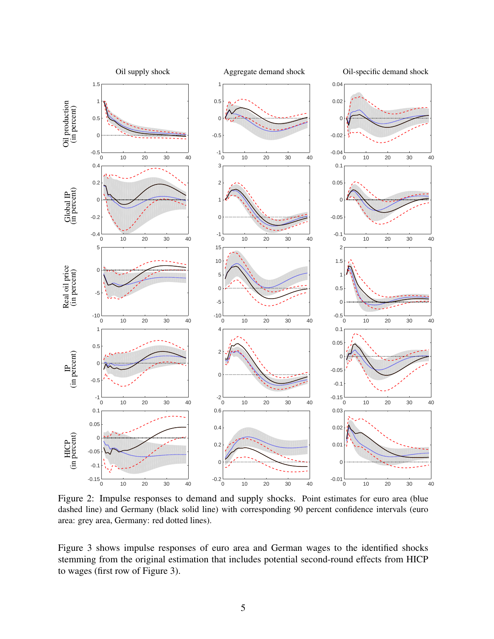

Figure 2: Impulse responses to demand and supply shocks. Point estimates for euro area (blue dashed line) and Germany (black solid line) with corresponding 90 percent confidence intervals (euro area: grey area, Germany: red dotted lines).

Figure 3 shows impulse responses of euro area and German wages to the identified shocks stemming from the original estimation that includes potential second-round effects from HICP to wages (first row of Figure 3).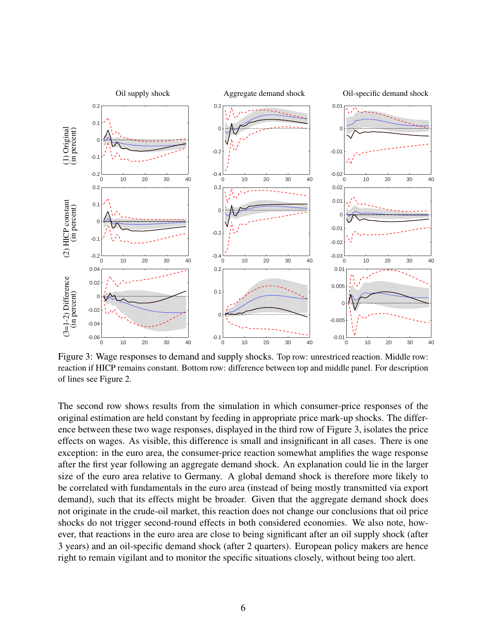

Figure 3: Wage responses to demand and supply shocks. Top row: unrestriced reaction. Middle row: reaction if HICP remains constant. Bottom row: difference between top and middle panel. For description of lines see Figure 2.

The second row shows results from the simulation in which consumer-price responses of the original estimation are held constant by feeding in appropriate price mark-up shocks. The difference between these two wage responses, displayed in the third row of Figure 3, isolates the price effects on wages. As visible, this difference is small and insignificant in all cases. There is one exception: in the euro area, the consumer-price reaction somewhat amplifies the wage response after the first year following an aggregate demand shock. An explanation could lie in the larger size of the euro area relative to Germany. A global demand shock is therefore more likely to be correlated with fundamentals in the euro area (instead of being mostly transmitted via export demand), such that its effects might be broader. Given that the aggregate demand shock does not originate in the crude-oil market, this reaction does not change our conclusions that oil price shocks do not trigger second-round effects in both considered economies. We also note, however, that reactions in the euro area are close to being significant after an oil supply shock (after 3 years) and an oil-specific demand shock (after 2 quarters). European policy makers are hence right to remain vigilant and to monitor the specific situations closely, without being too alert.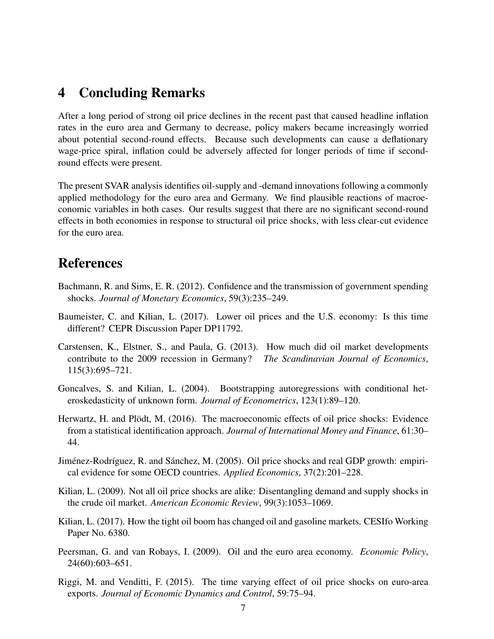#### 4 Concluding Remarks

After a long period of strong oil price declines in the recent past that caused headline inflation rates in the euro area and Germany to decrease, policy makers became increasingly worried about potential second-round effects. Because such developments can cause a deflationary wage-price spiral, inflation could be adversely affected for longer periods of time if secondround effects were present.

The present SVAR analysis identifies oil-supply and -demand innovations following a commonly applied methodology for the euro area and Germany. We find plausible reactions of macroeconomic variables in both cases. Our results suggest that there are no significant second-round effects in both economies in response to structural oil price shocks, with less clear-cut evidence for the euro area.

## References

- <span id="page-7-8"></span>Bachmann, R. and Sims, E. R. (2012). Confidence and the transmission of government spending shocks. *Journal of Monetary Economics*, 59(3):235–249.
- <span id="page-7-7"></span>Baumeister, C. and Kilian, L. (2017). Lower oil prices and the U.S. economy: Is this time different? CEPR Discussion Paper DP11792.
- <span id="page-7-3"></span>Carstensen, K., Elstner, S., and Paula, G. (2013). How much did oil market developments contribute to the 2009 recession in Germany? *The Scandinavian Journal of Economics*, 115(3):695–721.
- <span id="page-7-9"></span>Goncalves, S. and Kilian, L. (2004). Bootstrapping autoregressions with conditional heteroskedasticity of unknown form. *Journal of Econometrics*, 123(1):89–120.
- <span id="page-7-1"></span>Herwartz, H. and Plödt, M. (2016). The macroeconomic effects of oil price shocks: Evidence from a statistical identification approach. *Journal of International Money and Finance*, 61:30– 44.
- <span id="page-7-2"></span>Jiménez-Rodríguez, R. and Sánchez, M. (2005). Oil price shocks and real GDP growth: empirical evidence for some OECD countries. *Applied Economics*, 37(2):201–228.
- <span id="page-7-5"></span>Kilian, L. (2009). Not all oil price shocks are alike: Disentangling demand and supply shocks in the crude oil market. *American Economic Review*, 99(3):1053–1069.
- <span id="page-7-6"></span>Kilian, L. (2017). How the tight oil boom has changed oil and gasoline markets. CESIfo Working Paper No. 6380.
- <span id="page-7-4"></span>Peersman, G. and van Robays, I. (2009). Oil and the euro area economy. *Economic Policy*, 24(60):603–651.
- <span id="page-7-0"></span>Riggi, M. and Venditti, F. (2015). The time varying effect of oil price shocks on euro-area exports. *Journal of Economic Dynamics and Control*, 59:75–94.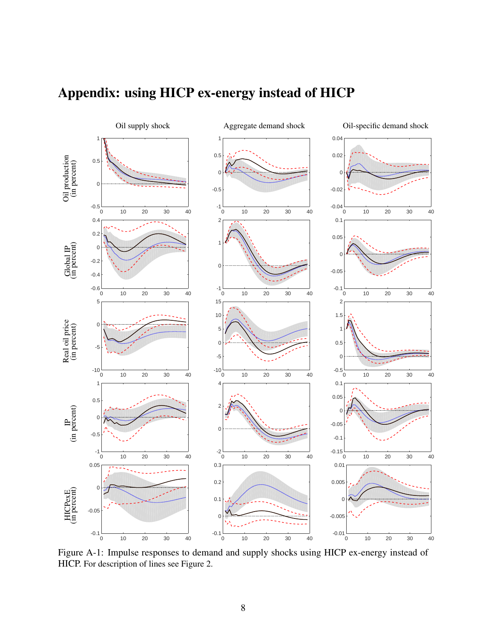

# Appendix: using HICP ex-energy instead of HICP

Figure A-1: Impulse responses to demand and supply shocks using HICP ex-energy instead of HICP. For description of lines see Figure 2.